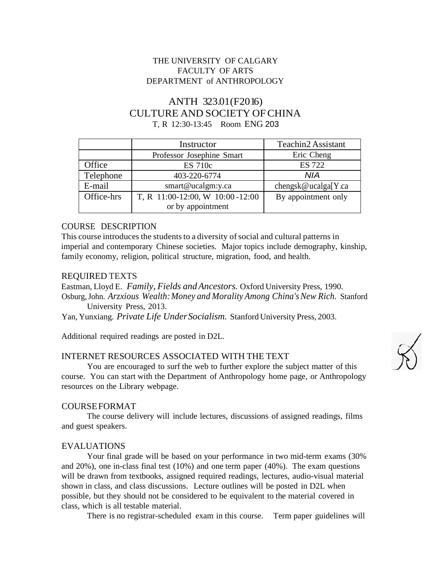## THE UNIVERSITY OF CALGARY FACULTY OF ARTS DEPARTMENT of ANTHROPOLOGY

# ANTH 323.01(F2016) CULTURE AND SOCIETY OFCHINA T, R 12:30-13:45 Room ENG 203

|            | Instructor                      | <b>Teachin2 Assistant</b> |  |
|------------|---------------------------------|---------------------------|--|
|            | Professor Josephine Smart       | Eric Cheng                |  |
| Office     | <b>ES</b> 710c                  | <b>ES 722</b>             |  |
| Telephone  | 403-220-6774                    | NIA                       |  |
| E-mail     | smart@ucalgm:y.ca               | chengsk@ucalga[Y.ca       |  |
| Office-hrs | T, R 11:00-12:00, W 10:00-12:00 | By appointment only       |  |
|            | or by appointment               |                           |  |

## COURSE DESCRIPTION

This course introduces the students to a diversity of social and cultural patterns in imperial and contemporary Chinese societies. Major topics include demography, kinship, family economy, religion, political structure, migration, food, and health.

#### REQUIRED TEXTS

Eastman, Lloyd E. *Family, Fields andAncestors.* Oxford University Press, 1990. Osburg,John. *Arzxious Wealth:Money and Morality Among China'sNew Rich.* Stanford University Press, 2013.

Yan, Yunxiang. *Private Life UnderSocialism.* Stanford University Press, 2003.

Additional required readings are posted in D2L.

## INTERNET RESOURCES ASSOCIATED WITH THE TEXT

You are encouraged to surf the web to further explore the subject matter of this course. You can start with the Department of Anthropology home page, or Anthropology resources on the Library webpage.

### COURSEFORMAT

The course delivery will include lectures, discussions of assigned readings, films and guest speakers.

#### EVALUATIONS

Your final grade will be based on your performance in two mid-term exams (30% and 20%), one in-class final test (10%) and one term paper (40%). The exam questions will be drawn from textbooks, assigned required readings, lectures, audio-visual material shown in class, and class discussions. Lecture outlines will be posted in D2L when possible, but they should not be considered to be equivalent to the material covered in class, which is all testable material.

There is no registrar-scheduled exam in this course. Term paper guidelines will

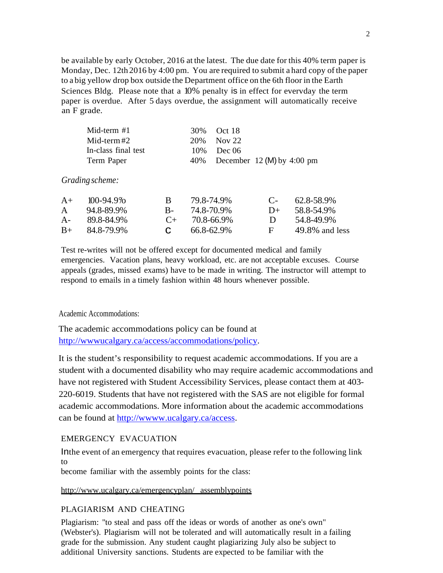be available by early October, 2016 at the latest. The due date for this 40% term paper is Monday, Dec. 12th 2016 by 4:00 pm. You are required to submit a hard copy ofthe paper to a big yellow drop box outside the Department office on the 6th floor in the Earth Sciences Bldg. Please note that a 10% penalty is in effect for evervday the term paper is overdue. After 5 days overdue, the assignment will automatically receive an F grade.

| Mid-term #1         | 30\% Oct 18                    |
|---------------------|--------------------------------|
| Mid-term $#2^-$     | 20\% Nov 22                    |
| In-class final test | $10\%$ Dec 06                  |
| Term Paper          | 40% December 12 (M) by 4:00 pm |

#### *Grading scheme:*

|      | $A+$ 100-94.9%   | R.           | 79.8-74.9%           |                | $C_{\text{-}}$ 62.8-58.9% |
|------|------------------|--------------|----------------------|----------------|---------------------------|
| A    | 94.8-89.9%       |              | $B - 748 - 709\%$    | $1+$           | 58.8-54.9%                |
| $A-$ | 89.8-84.9%       |              | $C_{\pm}$ 70.8-66.9% | $\blacksquare$ | 54.8-49.9%                |
|      | $B+ 84.8-79.9\%$ | $\mathbf{C}$ | 66.8-62.9%           | F.             | $49.8\%$ and less         |

Test re-writes will not be offered except for documented medical and family emergencies. Vacation plans, heavy workload, etc. are not acceptable excuses. Course appeals (grades, missed exams) have to be made in writing. The instructor will attempt to respond to emails in a timely fashion within 48 hours whenever possible.

#### Academic Accommodations:

The academic accommodations policy can be found at [http://wwwucalgary.ca/access/accommodations/policy.](http://wwwucalgary.ca/access/accommodations/policy)

It is the student's responsibility to request academic accommodations. If you are a student with a documented disability who may require academic accommodations and have not registered with Student Accessibility Services, please contact them at 403- 220-6019. Students that have not registered with the SAS are not eligible for formal academic accommodations. More information about the academic accommodations can be found at [http://wwww.ucalgary.ca/access.](http://wwww.ucalgary.ca/access)

#### EMERGENCY EVACUATION

Inthe event of an emergency that requires evacuation, please refer to the following link to

become familiar with the assembly points for the class:

### <http://www.ucalgary.ca/emergencyplan/> assemblypoints

#### PLAGIARISM AND CHEATING

Plagiarism: ''to steal and pass off the ideas or words of another as one's own" (Webster's). Plagiarism will not be tolerated and will automatically result in a failing grade for the submission. Any student caught plagiarizing July also be subject to additional University sanctions. Students are expected to be familiar with the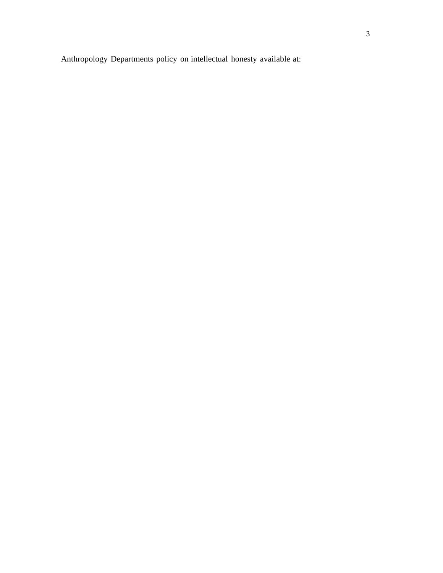Anthropology Departments policy on intellectual honesty available at: